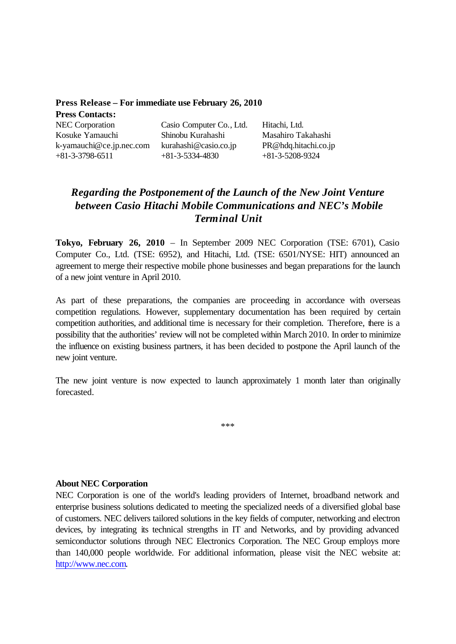| Press Release – For immediate use February 26, 2010 |                                            |                                           |
|-----------------------------------------------------|--------------------------------------------|-------------------------------------------|
| <b>Press Contacts:</b>                              |                                            |                                           |
| <b>NEC Corporation</b>                              | Casio Computer Co., Ltd.                   | Hitachi, Ltd.                             |
| Kosuke Yamauchi                                     | Shinobu Kurahashi                          | Masahiro Takahashi                        |
| k-yamauchi@ce.jp.nec.com<br>$+81-3-3798-6511$       | kurahashi@casio.co.jp<br>$+81-3-5334-4830$ | PR@hdq.hitachi.co.jp<br>$+81-3-5208-9324$ |

## *Regarding the Postponement of the Launch of the New Joint Venture between Casio Hitachi Mobile Communications and NEC's Mobile Terminal Unit*

**Tokyo, February 26, 2010** – In September 2009 NEC Corporation (TSE: 6701), Casio Computer Co., Ltd. (TSE: 6952), and Hitachi, Ltd. (TSE: 6501/NYSE: HIT) announced an agreement to merge their respective mobile phone businesses and began preparations for the launch of a new joint venture in April 2010.

As part of these preparations, the companies are proceeding in accordance with overseas competition regulations. However, supplementary documentation has been required by certain competition authorities, and additional time is necessary for their completion. Therefore, there is a possibility that the authorities' review will not be completed within March 2010. In order to minimize the influence on existing business partners, it has been decided to postpone the April launch of the new joint venture.

The new joint venture is now expected to launch approximately 1 month later than originally forecasted.

\*\*\*

## **About NEC Corporation**

NEC Corporation is one of the world's leading providers of Internet, broadband network and enterprise business solutions dedicated to meeting the specialized needs of a diversified global base of customers. NEC delivers tailored solutions in the key fields of computer, networking and electron devices, by integrating its technical strengths in IT and Networks, and by providing advanced semiconductor solutions through NEC Electronics Corporation. The NEC Group employs more than 140,000 people worldwide. For additional information, please visit the NEC website at: http://www.nec.com.